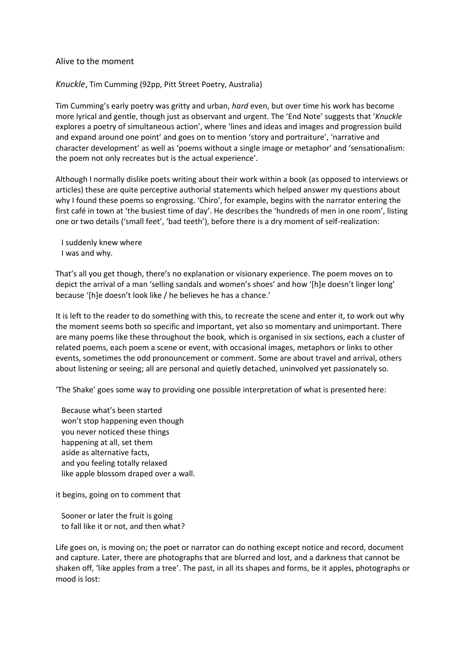## Alive to the moment

## *Knuckle*, Tim Cumming (92pp, Pitt Street Poetry, Australia)

Tim Cumming's early poetry was gritty and urban, *hard* even, but over time his work has become more lyrical and gentle, though just as observant and urgent. The 'End Note' suggests that '*Knuckle* explores a poetry of simultaneous action', where 'lines and ideas and images and progression build and expand around one point' and goes on to mention 'story and portraiture', 'narrative and character development' as well as 'poems without a single image or metaphor' and 'sensationalism: the poem not only recreates but is the actual experience'.

Although I normally dislike poets writing about their work within a book (as opposed to interviews or articles) these are quite perceptive authorial statements which helped answer my questions about why I found these poems so engrossing. 'Chiro', for example, begins with the narrator entering the first café in town at 'the busiest time of day'. He describes the 'hundreds of men in one room', listing one or two details ('small feet', 'bad teeth'), before there is a dry moment of self-realization:

 I suddenly knew where I was and why.

That's all you get though, there's no explanation or visionary experience. The poem moves on to depict the arrival of a man 'selling sandals and women's shoes' and how '[h]e doesn't linger long' because '[h]e doesn't look like / he believes he has a chance.'

It is left to the reader to do something with this, to recreate the scene and enter it, to work out why the moment seems both so specific and important, yet also so momentary and unimportant. There are many poems like these throughout the book, which is organised in six sections, each a cluster of related poems, each poem a scene or event, with occasional images, metaphors or links to other events, sometimes the odd pronouncement or comment. Some are about travel and arrival, others about listening or seeing; all are personal and quietly detached, uninvolved yet passionately so.

'The Shake' goes some way to providing one possible interpretation of what is presented here:

 Because what's been started won't stop happening even though you never noticed these things happening at all, set them aside as alternative facts, and you feeling totally relaxed like apple blossom draped over a wall.

it begins, going on to comment that

 Sooner or later the fruit is going to fall like it or not, and then what?

Life goes on, is moving on; the poet or narrator can do nothing except notice and record, document and capture. Later, there are photographs that are blurred and lost, and a darkness that cannot be shaken off, 'like apples from a tree'. The past, in all its shapes and forms, be it apples, photographs or mood is lost: